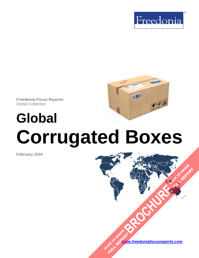

TILLI

**Freedonia Focus Reports** Global Collection

# **Global Corrugated Boxes**

**February 2020**

**[www.freedoniafocusreports.com](https://www.freedoniafocusreports.com/redirect.asp?progid=89534&url=/)** CLICK TO ORDER **FULL REPORT** 

**[BROCHURE](https://www.freedoniafocusreports.com/Global-Corrugated-Boxes-FW30047/?progid=89541) CLICK TO ORDER** 

**FULL REPORT**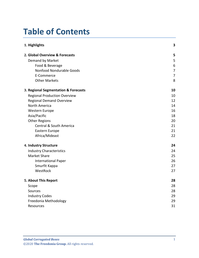# **Table of Contents**

| 1. Highlights                        | 3              |
|--------------------------------------|----------------|
| 2. Global Overview & Forecasts       | 5              |
| Demand by Market                     | 5              |
| Food & Beverage                      | 6              |
| Nonfood Nondurable Goods             | $\overline{7}$ |
| E-Commerce                           | $\overline{7}$ |
| <b>Other Markets</b>                 | 8              |
| 3. Regional Segmentation & Forecasts | 10             |
| <b>Regional Production Overview</b>  | 10             |
| <b>Regional Demand Overview</b>      | 12             |
| <b>North America</b>                 | 14             |
| <b>Western Europe</b>                | 16             |
| Asia/Pacific                         | 18             |
| <b>Other Regions</b>                 | 20             |
| Central & South America              | 21             |
| Eastern Europe                       | 21             |
| Africa/Mideast                       | 22             |
| 4. Industry Structure                | 24             |
| <b>Industry Characteristics</b>      | 24             |
| <b>Market Share</b>                  | 25             |
| <b>International Paper</b>           | 26             |
| Smurfit Kappa                        | 27             |
| WestRock                             | 27             |
| 5. About This Report                 | 28             |
| Scope                                | 28             |
| Sources                              | 28             |
| <b>Industry Codes</b>                | 29             |
| Freedonia Methodology                | 29             |
| Resources                            | 31             |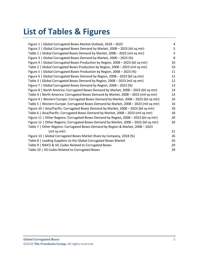# **List of Tables & Figures**

| Figure 1   Global Corrugated Boxes Market Outlook, 2018 - 2023                         | 4  |
|----------------------------------------------------------------------------------------|----|
| Figure 2   Global Corrugated Boxes Demand by Market, 2008 - 2023 (bil sq mtr)          | 5  |
| Table 1   Global Corrugated Boxes Demand by Market, 2008 - 2023 (mil sq mtr)           | 5  |
| Figure 3   Global Corrugated Boxes Demand by Market, 2008 - 2023 (%)                   | 8  |
| Figure 4   Global Corrugated Boxes Production by Region, 2008 - 2023 (bil sq mtr)      | 10 |
| Table 2   Global Corrugated Boxes Production by Region, 2008 - 2023 (mil sq mtr)       | 10 |
| Figure 5   Global Corrugated Boxes Production by Region, 2008 - 2023 (%)               | 11 |
| Figure 6   Global Corrugated Boxes Demand by Region, 2008 - 2023 (bil sq mtr)          | 12 |
| Table 3   Global Corrugated Boxes Demand by Region, 2008 - 2023 (mil sq mtr)           | 12 |
| Figure 7   Global Corrugated Boxes Demand by Region, 2008 - 2023 (%)                   | 13 |
| Figure 8   North America: Corrugated Boxes Demand by Market, 2008 - 2023 (bil sq mtr)  | 14 |
| Table 4   North America: Corrugated Boxes Demand by Market, 2008 - 2023 (mil sq mtr)   | 14 |
| Figure 9   Western Europe: Corrugated Boxes Demand by Market, 2008 - 2023 (bil sq mtr) | 16 |
| Table 5   Western Europe: Corrugated Boxes Demand by Market, 2008 - 2023 (mil sq mtr)  | 16 |
| Figure 10   Asia/Pacific: Corrugated Boxes Demand by Market, 2008 - 2023 (bil sq mtr)  | 18 |
| Table 6   Asia/Pacific: Corrugated Boxes Demand by Market, 2008 - 2023 (mil sq mtr)    | 18 |
| Figure 11   Other Regions: Corrugated Boxes Demand by Region, 2008 - 2023 (bil sq mtr) | 20 |
| Figure 12   Other Regions: Corrugated Boxes Demand by Market, 2008 - 2023 (bil sq mtr) | 20 |
| Table 7   Other Regions: Corrugated Boxes Demand by Region & Market, 2008 - 2023       |    |
| (mil sq mtr)                                                                           | 21 |
| Figure 13   Global Corrugated Boxes Market Share by Company, 2018 (%)                  | 26 |
| Table 8   Leading Suppliers to the Global Corrugated Boxes Market                      | 26 |
| Table 9   NAICS & SIC Codes Related to Corrugated Boxes                                | 29 |
| Table 10   HS Codes Related to Corrugated Boxes                                        | 29 |
|                                                                                        |    |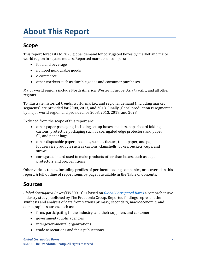# <span id="page-3-1"></span><span id="page-3-0"></span>**Scope**

This report forecasts to 2023 global demand for corrugated boxes by market and major world region in square meters. Reported markets encompass:

- food and beverage
- nonfood nondurable goods
- e-commerce
- other markets such as durable goods and consumer purchases

Major world regions include North America, Western Europe, Asia/Pacific, and all other regions.

To illustrate historical trends, world, market, and regional demand (including market segments) are provided for 2008, 2013, and 2018. Finally, global production is segmented by major world region and provided for 2008, 2013, 2018, and 2023.

Excluded from the scope of this report are:

- other paper packaging, including set-up boxes, mailers, paperboard folding cartons, protective packaging such as corrugated edge protectors and paper fill, and paper bags
- other disposable paper products, such as tissues, toilet paper, and paper foodservice products such as cartons, clamshells, boxes, buckets, cups, and straws
- corrugated board used to make products other than boxes, such as edge protectors and box partitions

Other various topics, including profiles of pertinent leading companies, are covered in this report. A full outline of report items by page is available in the Table of Contents.

## <span id="page-3-2"></span>**Sources**

*Global Corrugated Boxes* (FW30013) is based on *[Global Corrugated Boxes](http://www.freedoniagroup.com/DocumentDetails.aspx?ReferrerId=FL-FOCUS&studyid=3737)* a comprehensive industry study published by The Freedonia Group. Reported findings represent the synthesis and analysis of data from various primary, secondary, macroeconomic, and demographic sources, such as:

- firms participating in the industry, and their suppliers and customers
- government/public agencies
- intergovernmental organizations
- trade associations and their publications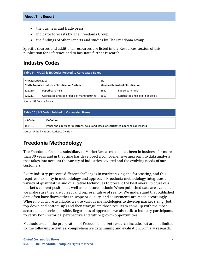- the business and trade press
- indicator forecasts by The Freedonia Group
- the findings of other reports and studies by The Freedonia Group

Specific sources and additional resources are listed in the Resources section of this publication for reference and to facilitate further research.

# <span id="page-4-0"></span>**Industry Codes**

<span id="page-4-2"></span>

| Table 9   NAICS & SIC Codes Related to Corrugated Boxes |                                              |                                           |                                  |  |
|---------------------------------------------------------|----------------------------------------------|-------------------------------------------|----------------------------------|--|
| <b>NAICS/SCIAN 2017</b><br><b>SIC</b>                   |                                              |                                           |                                  |  |
| <b>North American Industry Classification System</b>    |                                              | <b>Standard Industrial Classification</b> |                                  |  |
| 322130                                                  | Paperboard mills                             | 2631                                      | Paperboard mills                 |  |
| 322211                                                  | Corrugated and solid fiber box manufacturing | 2653                                      | Corrugated and solid fiber boxes |  |

Source: US Census Bureau

#### <span id="page-4-3"></span>**Table 10 | HS Codes Related to Corrugated Boxes**

| <b>HS Code</b> | <b>Definition</b>                                                                 |
|----------------|-----------------------------------------------------------------------------------|
| 4819.10        | Paper and paperboard; cartons, boxes and cases, of corrugated paper or paperboard |

Source: United Nations Statistics Division

# <span id="page-4-1"></span>**Freedonia Methodology**

The Freedonia Group, a subsidiary of MarketResearch.com, has been in business for more than 30 years and in that time has developed a comprehensive approach to data analysis that takes into account the variety of industries covered and the evolving needs of our customers.

Every industry presents different challenges in market sizing and forecasting, and this requires flexibility in methodology and approach. Freedonia methodology integrates a variety of quantitative and qualitative techniques to present the best overall picture of a market's current position as well as its future outlook: When published data are available, we make sure they are correct and representative of reality. We understand that published data often have flaws either in scope or quality, and adjustments are made accordingly. Where no data are available, we use various methodologies to develop market sizing (both top-down and bottom-up) and then triangulate those results to come up with the most accurate data series possible. Regardless of approach, we also talk to industry participants to verify both historical perspective and future growth opportunities.

Methods used in the preparation of Freedonia market research include, but are not limited to, the following activities: comprehensive data mining and evaluation, primary research,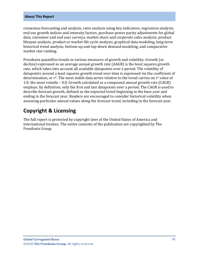consensus forecasting and analysis, ratio analysis using key indicators, regression analysis, end use growth indices and intensity factors, purchase power parity adjustments for global data, consumer and end user surveys, market share and corporate sales analysis, product lifespan analysis, product or market life cycle analysis, graphical data modeling, long-term historical trend analysis, bottom-up and top-down demand modeling, and comparative market size ranking.

Freedonia quantifies trends in various measures of growth and volatility. Growth (or decline) expressed as an average annual growth rate (AAGR) is the least squares growth rate, which takes into account all available datapoints over a period. The volatility of datapoints around a least squares growth trend over time is expressed via the coefficient of determination, or  $r^2$ . The most stable data series relative to the trend carries an  $r^2$  value of 1.0; the most volatile – 0.0. Growth calculated as a compound annual growth rate (CAGR) employs, by definition, only the first and last datapoints over a period. The CAGR is used to describe forecast growth, defined as the expected trend beginning in the base year and ending in the forecast year. Readers are encouraged to consider historical volatility when assessing particular annual values along the forecast trend, including in the forecast year.

# **Copyright & Licensing**

The full report is protected by copyright laws of the United States of America and international treaties. The entire contents of the publication are copyrighted by The Freedonia Group.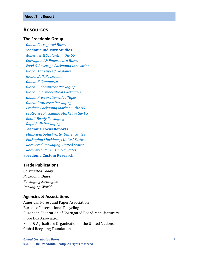## <span id="page-6-0"></span>**Resources**

#### **The Freedonia Group**

 *[Global Corrugated Boxes](http://www.freedoniagroup.com/DocumentDetails.aspx?ReferrerId=FL-FOCUS&studyid=3737)* **[Freedonia Industry Studies](http://www.freedoniagroup.com/Home.aspx?ReferrerId=FL-Focus)**  *[Adhesives & Sealants in the US](https://www.freedoniagroup.com/DocumentDetails.aspx?ReferrerId=FL-focus&StudyId=3623) [Corrugated & Paperboard Boxes](https://www.freedoniagroup.com/DocumentDetails.aspx?ReferrerId=FL-FOCUS&StudyId=3686) [Food & Beverage Packaging Innovation](https://www.freedoniagroup.com/DocumentDetails.aspx?ReferrerId=FL-FOCUS&StudyId=3736) [Global Adhesives & Sealants](https://www.freedoniagroup.com/documentdetails.aspx?referrerid=fl-FOCUS&studyid=3715) [Global Bulk Packaging](https://www.freedoniagroup.com/documentdetails.aspx?referrerid=fl-FOCUS&studyid=3612) [Global E-Commerce](https://www.freedoniagroup.com/documentdetails.aspx?referrerid=fl-FOCUS&studyid=3724) [Global E-Commerce Packaging](https://www.freedoniagroup.com/documentdetails.aspx?referrerid=fl-FOCUS&studyid=3744) [Global Pharmaceutical Packaging](https://www.freedoniagroup.com/documentdetails.aspx?referrerid=fl-FOCUS&studyid=3758) [Global Pressure Sensitive Tapes](https://www.freedoniagroup.com/documentdetails.aspx?referrerid=fl-FOCUS&studyid=3685) [Global Protective Packaging](https://www.freedoniagroup.com/documentdetails.aspx?referrerid=fl-FOCUS&studyid=3741) [Produce Packaging Market in the US](https://www.freedoniagroup.com/DocumentDetails.aspx?ReferrerId=FL-FOCUS&StudyId=3632) [Protective Packaging Market in the US](https://www.freedoniagroup.com/DocumentDetails.aspx?ReferrerId=FL-FOCUS&StudyId=3544) [Retail-Ready Packaging](https://www.freedoniagroup.com/DocumentDetails.aspx?ReferrerId=FL-FOCUS&StudyId=3713) [Rigid Bulk Packaging](https://www.freedoniagroup.com/DocumentDetails.aspx?ReferrerId=FL-FOCUS&StudyId=3704)* **[Freedonia Focus Reports](https://www.freedoniafocusreports.com/redirect.asp?progid=89534&url=/)**

# *[Municipal Solid Waste: United States](https://www.freedoniafocusreports.com/Municipal-Solid-Waste-United-States-FF95057/?progid=89534)*

 *[Packaging Machinery: United States](https://www.freedoniafocusreports.com/Packaging-Machinery-United-States-FF75038/?progid=89534) [Recovered Packaging: United States](https://www.freedoniafocusreports.com/Recovered-Packaging-United-States-FF30051/?progid=89534) [Recovered Paper: United States](https://www.freedoniafocusreports.com/Recovered-Paper-United-States-FF25019/?progid=89534)* **[Freedonia Custom Research](http://www.freedoniagroup.com/CustomResearch.aspx?ReferrerId=FL-Focus)**

#### **Trade Publications**

*Corrugated Today Packaging Digest Packaging Strategies Packaging World*

#### **Agencies & Associations**

American Forest and Paper Association Bureau of International Recycling European Federation of Corrugated Board Manufacturers Fibre Box Association Food & Agriculture Organization of the United Nations Global Recycling Foundation